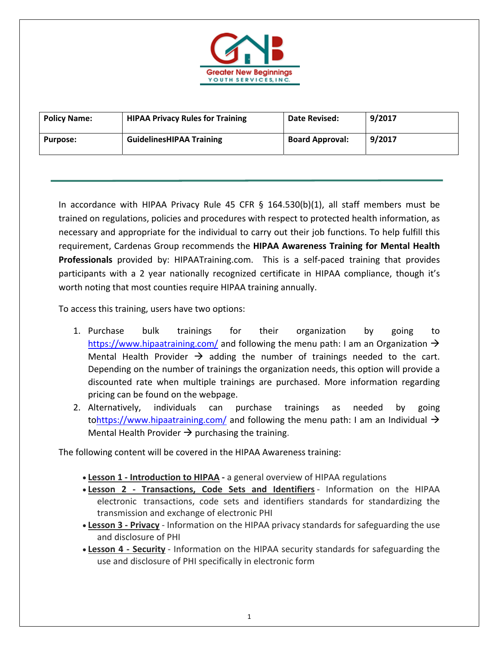

| <b>Policy Name:</b> | <b>HIPAA Privacy Rules for Training</b> | Date Revised:          | 9/2017 |
|---------------------|-----------------------------------------|------------------------|--------|
| <b>Purpose:</b>     | <b>GuidelinesHIPAA Training</b>         | <b>Board Approval:</b> | 9/2017 |

In accordance with HIPAA Privacy Rule 45 CFR § 164.530(b)(1), all staff members must be trained on regulations, policies and procedures with respect to protected health information, as necessary and appropriate for the individual to carry out their job functions. To help fulfill this requirement, Cardenas Group recommends the **HIPAA Awareness Training for Mental Health**  Professionals provided by: HIPAATraining.com. This is a self-paced training that provides participants with a 2 year nationally recognized certificate in HIPAA compliance, though it's worth noting that most counties require HIPAA training annually.

To access this training, users have two options:

- 1. Purchase bulk trainings for their organization by going to https://www.hipaatraining.com/ and following the menu path: I am an Organization  $\rightarrow$ Mental Health Provider  $\rightarrow$  adding the number of trainings needed to the cart. Depending on the number of trainings the organization needs, this option will provide a discounted rate when multiple trainings are purchased. More information regarding pricing can be found on the webpage.
- 2. Alternatively, individuals can purchase trainings as needed by going tohttps://www.hipaatraining.com/ and following the menu path: I am an Individual  $\rightarrow$ Mental Health Provider  $\rightarrow$  purchasing the training.

The following content will be covered in the HIPAA Awareness training:

- **Lesson 1 ‐ Introduction to HIPAA ‐** a general overview of HIPAA regulations
- **Lesson 2 ‐ Transactions, Code Sets and Identifiers** ‐ Information on the HIPAA electronic transactions, code sets and identifiers standards for standardizing the transmission and exchange of electronic PHI
- **Lesson 3 ‐ Privacy** ‐ Information on the HIPAA privacy standards for safeguarding the use and disclosure of PHI
- **Lesson 4 ‐ Security** ‐ Information on the HIPAA security standards for safeguarding the use and disclosure of PHI specifically in electronic form